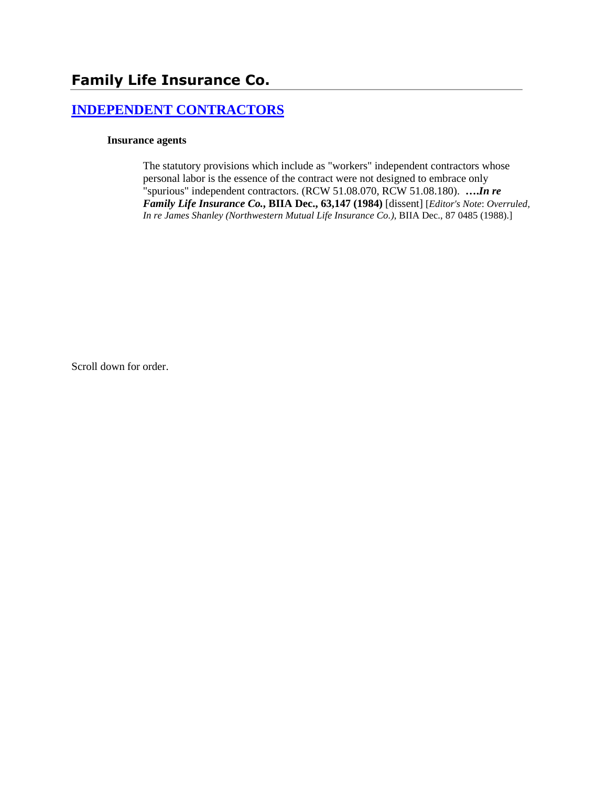# **[INDEPENDENT CONTRACTORS](http://www.biia.wa.gov/SDSubjectIndex.html#INDEPENDENT_CONTRACTORS)**

#### **Insurance agents**

The statutory provisions which include as "workers" independent contractors whose personal labor is the essence of the contract were not designed to embrace only "spurious" independent contractors. (RCW 51.08.070, RCW 51.08.180). **….***In re Family Life Insurance Co.***, BIIA Dec., 63,147 (1984)** [dissent] [*Editor's Note*: *Overruled, In re James Shanley (Northwestern Mutual Life Insurance Co.)*, BIIA Dec., 87 0485 (1988).]

Scroll down for order.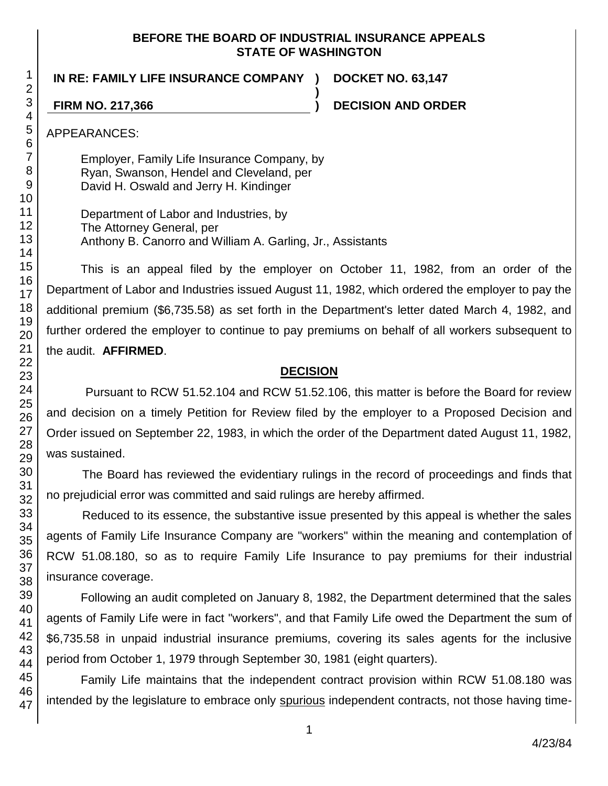#### **BEFORE THE BOARD OF INDUSTRIAL INSURANCE APPEALS STATE OF WASHINGTON**

**)**

**IN RE: FAMILY LIFE INSURANCE COMPANY ) DOCKET NO. 63,147**

**FIRM NO. 217,366 ) DECISION AND ORDER**

47

APPEARANCES:

Employer, Family Life Insurance Company, by Ryan, Swanson, Hendel and Cleveland, per David H. Oswald and Jerry H. Kindinger

Department of Labor and Industries, by The Attorney General, per Anthony B. Canorro and William A. Garling, Jr., Assistants

This is an appeal filed by the employer on October 11, 1982, from an order of the Department of Labor and Industries issued August 11, 1982, which ordered the employer to pay the additional premium (\$6,735.58) as set forth in the Department's letter dated March 4, 1982, and further ordered the employer to continue to pay premiums on behalf of all workers subsequent to the audit. **AFFIRMED**.

## **DECISION**

Pursuant to RCW 51.52.104 and RCW 51.52.106, this matter is before the Board for review and decision on a timely Petition for Review filed by the employer to a Proposed Decision and Order issued on September 22, 1983, in which the order of the Department dated August 11, 1982, was sustained.

The Board has reviewed the evidentiary rulings in the record of proceedings and finds that no prejudicial error was committed and said rulings are hereby affirmed.

Reduced to its essence, the substantive issue presented by this appeal is whether the sales agents of Family Life Insurance Company are "workers" within the meaning and contemplation of RCW 51.08.180, so as to require Family Life Insurance to pay premiums for their industrial insurance coverage.

Following an audit completed on January 8, 1982, the Department determined that the sales agents of Family Life were in fact "workers", and that Family Life owed the Department the sum of \$6,735.58 in unpaid industrial insurance premiums, covering its sales agents for the inclusive period from October 1, 1979 through September 30, 1981 (eight quarters).

Family Life maintains that the independent contract provision within RCW 51.08.180 was intended by the legislature to embrace only spurious independent contracts, not those having time-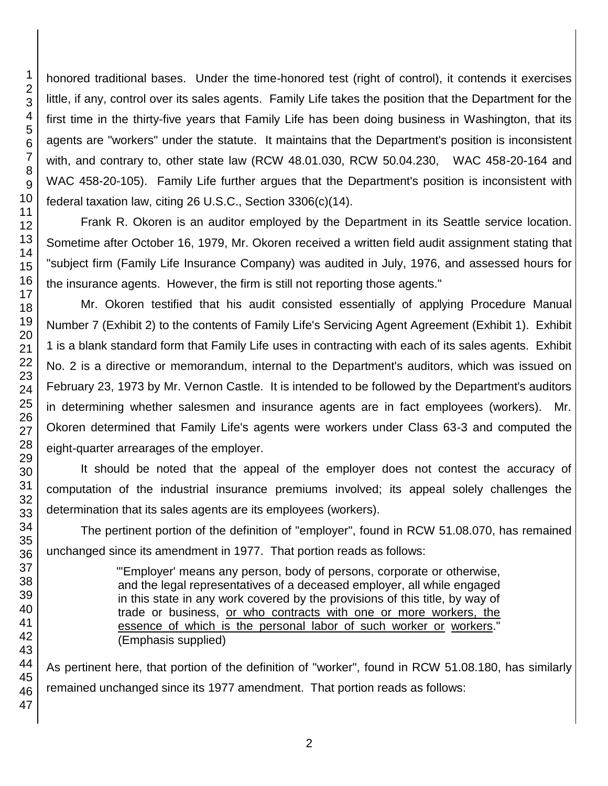honored traditional bases. Under the time-honored test (right of control), it contends it exercises little, if any, control over its sales agents. Family Life takes the position that the Department for the first time in the thirty-five years that Family Life has been doing business in Washington, that its agents are "workers" under the statute. It maintains that the Department's position is inconsistent with, and contrary to, other state law (RCW 48.01.030, RCW 50.04.230, WAC 458-20-164 and WAC 458-20-105). Family Life further argues that the Department's position is inconsistent with federal taxation law, citing 26 U.S.C., Section 3306(c)(14).

Frank R. Okoren is an auditor employed by the Department in its Seattle service location. Sometime after October 16, 1979, Mr. Okoren received a written field audit assignment stating that "subject firm (Family Life Insurance Company) was audited in July, 1976, and assessed hours for the insurance agents. However, the firm is still not reporting those agents."

Mr. Okoren testified that his audit consisted essentially of applying Procedure Manual Number 7 (Exhibit 2) to the contents of Family Life's Servicing Agent Agreement (Exhibit 1). Exhibit 1 is a blank standard form that Family Life uses in contracting with each of its sales agents. Exhibit No. 2 is a directive or memorandum, internal to the Department's auditors, which was issued on February 23, 1973 by Mr. Vernon Castle. It is intended to be followed by the Department's auditors in determining whether salesmen and insurance agents are in fact employees (workers). Mr. Okoren determined that Family Life's agents were workers under Class 63-3 and computed the eight-quarter arrearages of the employer.

It should be noted that the appeal of the employer does not contest the accuracy of computation of the industrial insurance premiums involved; its appeal solely challenges the determination that its sales agents are its employees (workers).

The pertinent portion of the definition of "employer", found in RCW 51.08.070, has remained unchanged since its amendment in 1977. That portion reads as follows:

> "'Employer' means any person, body of persons, corporate or otherwise, and the legal representatives of a deceased employer, all while engaged in this state in any work covered by the provisions of this title, by way of trade or business, or who contracts with one or more workers, the essence of which is the personal labor of such worker or workers." (Emphasis supplied)

As pertinent here, that portion of the definition of "worker", found in RCW 51.08.180, has similarly remained unchanged since its 1977 amendment. That portion reads as follows: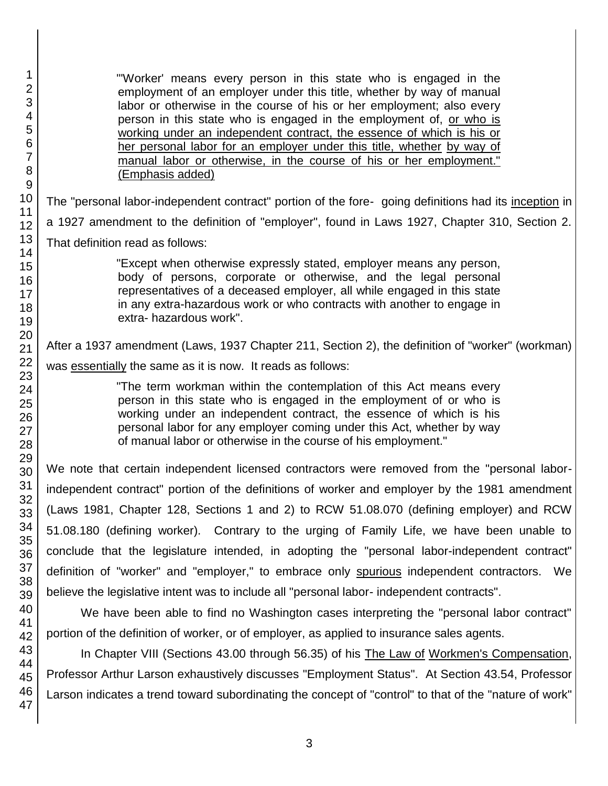"'Worker' means every person in this state who is engaged in the employment of an employer under this title, whether by way of manual labor or otherwise in the course of his or her employment; also every person in this state who is engaged in the employment of, or who is working under an independent contract, the essence of which is his or her personal labor for an employer under this title, whether by way of manual labor or otherwise, in the course of his or her employment." (Emphasis added)

The "personal labor-independent contract" portion of the fore- going definitions had its inception in a 1927 amendment to the definition of "employer", found in Laws 1927, Chapter 310, Section 2. That definition read as follows:

> "Except when otherwise expressly stated, employer means any person, body of persons, corporate or otherwise, and the legal personal representatives of a deceased employer, all while engaged in this state in any extra-hazardous work or who contracts with another to engage in extra- hazardous work".

After a 1937 amendment (Laws, 1937 Chapter 211, Section 2), the definition of "worker" (workman) was essentially the same as it is now. It reads as follows:

> "The term workman within the contemplation of this Act means every person in this state who is engaged in the employment of or who is working under an independent contract, the essence of which is his personal labor for any employer coming under this Act, whether by way of manual labor or otherwise in the course of his employment."

We note that certain independent licensed contractors were removed from the "personal laborindependent contract" portion of the definitions of worker and employer by the 1981 amendment (Laws 1981, Chapter 128, Sections 1 and 2) to RCW 51.08.070 (defining employer) and RCW 51.08.180 (defining worker). Contrary to the urging of Family Life, we have been unable to conclude that the legislature intended, in adopting the "personal labor-independent contract" definition of "worker" and "employer," to embrace only spurious independent contractors. We believe the legislative intent was to include all "personal labor- independent contracts".

We have been able to find no Washington cases interpreting the "personal labor contract" portion of the definition of worker, or of employer, as applied to insurance sales agents.

In Chapter VIII (Sections 43.00 through 56.35) of his The Law of Workmen's Compensation, Professor Arthur Larson exhaustively discusses "Employment Status". At Section 43.54, Professor Larson indicates a trend toward subordinating the concept of "control" to that of the "nature of work"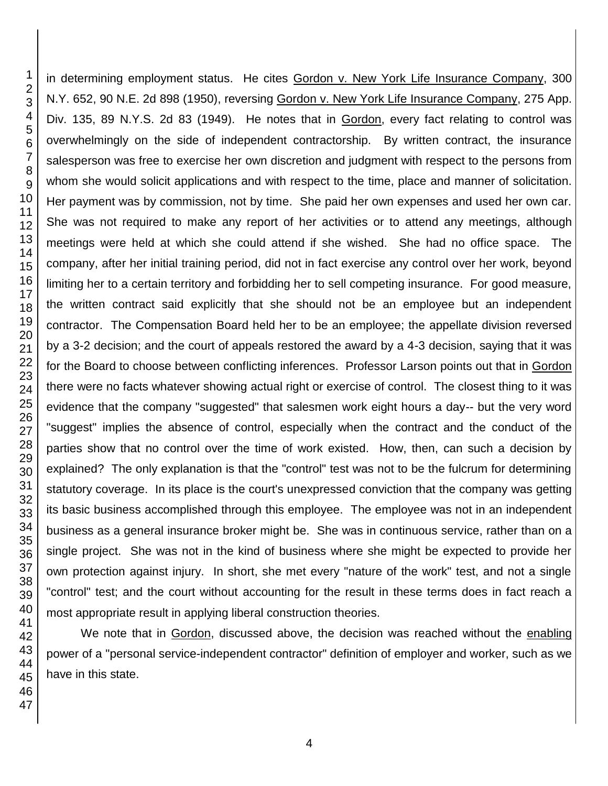in determining employment status. He cites Gordon v. New York Life Insurance Company, 300 N.Y. 652, 90 N.E. 2d 898 (1950), reversing Gordon v. New York Life Insurance Company, 275 App. Div. 135, 89 N.Y.S. 2d 83 (1949). He notes that in Gordon, every fact relating to control was overwhelmingly on the side of independent contractorship. By written contract, the insurance salesperson was free to exercise her own discretion and judgment with respect to the persons from whom she would solicit applications and with respect to the time, place and manner of solicitation. Her payment was by commission, not by time. She paid her own expenses and used her own car. She was not required to make any report of her activities or to attend any meetings, although meetings were held at which she could attend if she wished. She had no office space. The company, after her initial training period, did not in fact exercise any control over her work, beyond limiting her to a certain territory and forbidding her to sell competing insurance. For good measure, the written contract said explicitly that she should not be an employee but an independent contractor. The Compensation Board held her to be an employee; the appellate division reversed by a 3-2 decision; and the court of appeals restored the award by a 4-3 decision, saying that it was for the Board to choose between conflicting inferences. Professor Larson points out that in Gordon there were no facts whatever showing actual right or exercise of control. The closest thing to it was evidence that the company "suggested" that salesmen work eight hours a day-- but the very word "suggest" implies the absence of control, especially when the contract and the conduct of the parties show that no control over the time of work existed. How, then, can such a decision by explained? The only explanation is that the "control" test was not to be the fulcrum for determining statutory coverage. In its place is the court's unexpressed conviction that the company was getting its basic business accomplished through this employee. The employee was not in an independent business as a general insurance broker might be. She was in continuous service, rather than on a single project. She was not in the kind of business where she might be expected to provide her own protection against injury. In short, she met every "nature of the work" test, and not a single "control" test; and the court without accounting for the result in these terms does in fact reach a most appropriate result in applying liberal construction theories.

We note that in Gordon, discussed above, the decision was reached without the enabling power of a "personal service-independent contractor" definition of employer and worker, such as we have in this state.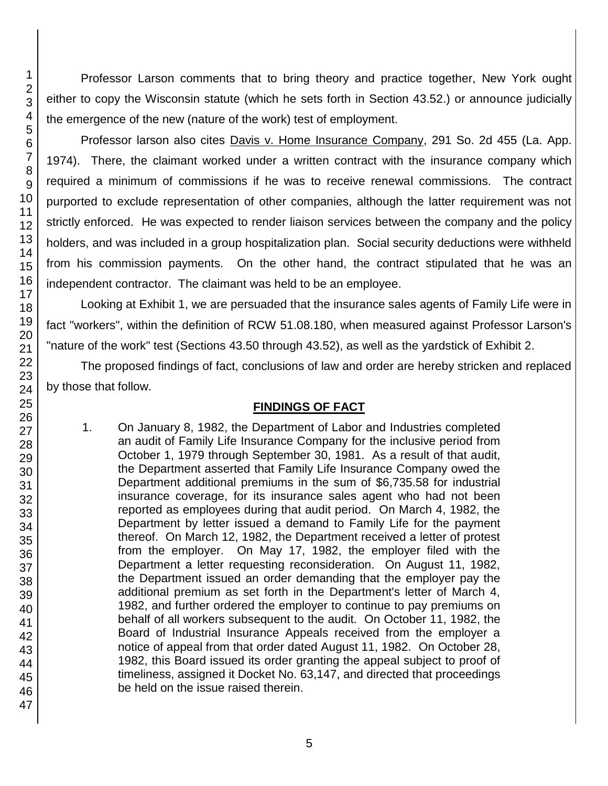Professor Larson comments that to bring theory and practice together, New York ought either to copy the Wisconsin statute (which he sets forth in Section 43.52.) or announce judicially the emergence of the new (nature of the work) test of employment.

Professor larson also cites Davis v. Home Insurance Company, 291 So. 2d 455 (La. App. 1974). There, the claimant worked under a written contract with the insurance company which required a minimum of commissions if he was to receive renewal commissions. The contract purported to exclude representation of other companies, although the latter requirement was not strictly enforced. He was expected to render liaison services between the company and the policy holders, and was included in a group hospitalization plan. Social security deductions were withheld from his commission payments. On the other hand, the contract stipulated that he was an independent contractor. The claimant was held to be an employee.

Looking at Exhibit 1, we are persuaded that the insurance sales agents of Family Life were in fact "workers", within the definition of RCW 51.08.180, when measured against Professor Larson's "nature of the work" test (Sections 43.50 through 43.52), as well as the yardstick of Exhibit 2.

The proposed findings of fact, conclusions of law and order are hereby stricken and replaced by those that follow.

# **FINDINGS OF FACT**

1. On January 8, 1982, the Department of Labor and Industries completed an audit of Family Life Insurance Company for the inclusive period from October 1, 1979 through September 30, 1981. As a result of that audit, the Department asserted that Family Life Insurance Company owed the Department additional premiums in the sum of \$6,735.58 for industrial insurance coverage, for its insurance sales agent who had not been reported as employees during that audit period. On March 4, 1982, the Department by letter issued a demand to Family Life for the payment thereof. On March 12, 1982, the Department received a letter of protest from the employer. On May 17, 1982, the employer filed with the Department a letter requesting reconsideration. On August 11, 1982, the Department issued an order demanding that the employer pay the additional premium as set forth in the Department's letter of March 4, 1982, and further ordered the employer to continue to pay premiums on behalf of all workers subsequent to the audit. On October 11, 1982, the Board of Industrial Insurance Appeals received from the employer a notice of appeal from that order dated August 11, 1982. On October 28, 1982, this Board issued its order granting the appeal subject to proof of timeliness, assigned it Docket No. 63,147, and directed that proceedings be held on the issue raised therein.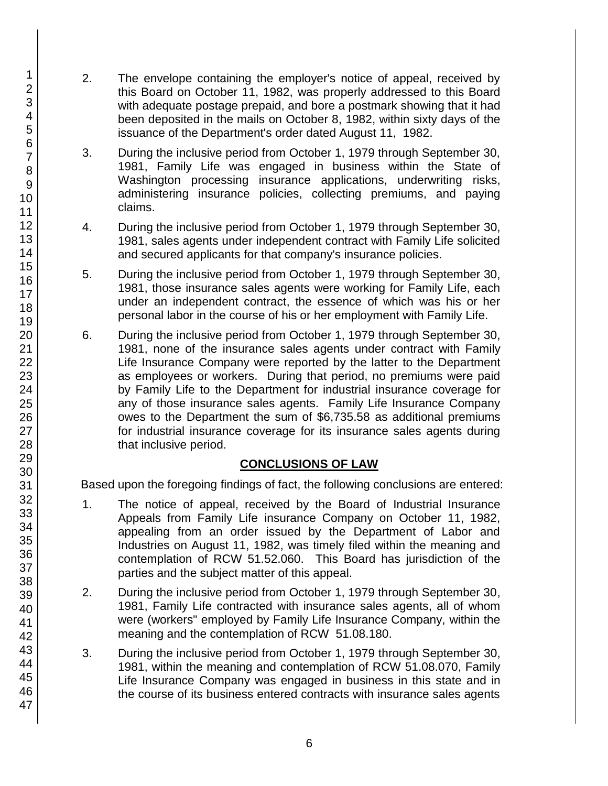- 2. The envelope containing the employer's notice of appeal, received by this Board on October 11, 1982, was properly addressed to this Board with adequate postage prepaid, and bore a postmark showing that it had been deposited in the mails on October 8, 1982, within sixty days of the issuance of the Department's order dated August 11, 1982.
- 3. During the inclusive period from October 1, 1979 through September 30, 1981, Family Life was engaged in business within the State of Washington processing insurance applications, underwriting risks, administering insurance policies, collecting premiums, and paying claims.
- 4. During the inclusive period from October 1, 1979 through September 30, 1981, sales agents under independent contract with Family Life solicited and secured applicants for that company's insurance policies.
- 5. During the inclusive period from October 1, 1979 through September 30, 1981, those insurance sales agents were working for Family Life, each under an independent contract, the essence of which was his or her personal labor in the course of his or her employment with Family Life.
- 6. During the inclusive period from October 1, 1979 through September 30, 1981, none of the insurance sales agents under contract with Family Life Insurance Company were reported by the latter to the Department as employees or workers. During that period, no premiums were paid by Family Life to the Department for industrial insurance coverage for any of those insurance sales agents. Family Life Insurance Company owes to the Department the sum of \$6,735.58 as additional premiums for industrial insurance coverage for its insurance sales agents during that inclusive period.

# **CONCLUSIONS OF LAW**

Based upon the foregoing findings of fact, the following conclusions are entered:

- 1. The notice of appeal, received by the Board of Industrial Insurance Appeals from Family Life insurance Company on October 11, 1982, appealing from an order issued by the Department of Labor and Industries on August 11, 1982, was timely filed within the meaning and contemplation of RCW 51.52.060. This Board has jurisdiction of the parties and the subject matter of this appeal.
- 2. During the inclusive period from October 1, 1979 through September 30, 1981, Family Life contracted with insurance sales agents, all of whom were (workers" employed by Family Life Insurance Company, within the meaning and the contemplation of RCW 51.08.180.
- 3. During the inclusive period from October 1, 1979 through September 30, 1981, within the meaning and contemplation of RCW 51.08.070, Family Life Insurance Company was engaged in business in this state and in the course of its business entered contracts with insurance sales agents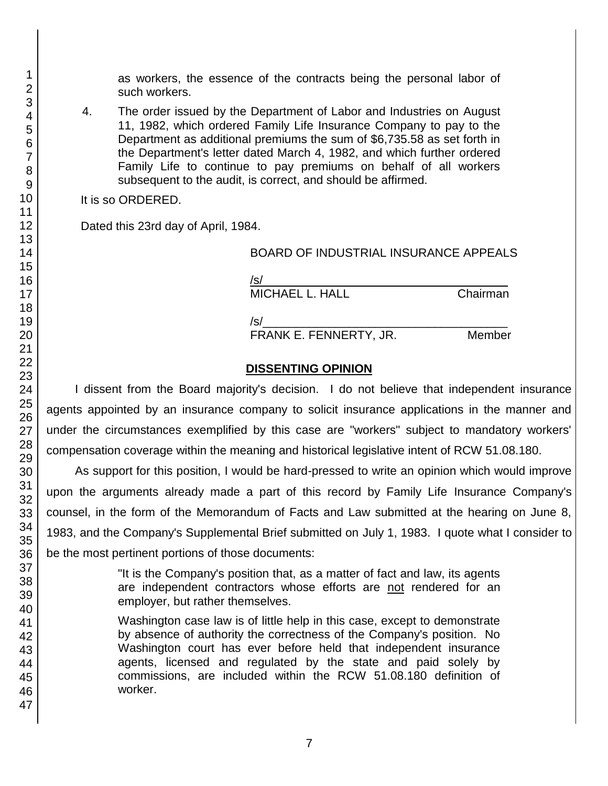as workers, the essence of the contracts being the personal labor of such workers.

4. The order issued by the Department of Labor and Industries on August 11, 1982, which ordered Family Life Insurance Company to pay to the Department as additional premiums the sum of \$6,735.58 as set forth in the Department's letter dated March 4, 1982, and which further ordered Family Life to continue to pay premiums on behalf of all workers subsequent to the audit, is correct, and should be affirmed.

It is so ORDERED.

Dated this 23rd day of April, 1984.

| BOARD OF INDUSTRIAL INSURANCE APPEALS |  |
|---------------------------------------|--|
|---------------------------------------|--|

 $/$ s/ $\sim$ MICHAEL L. HALL Chairman

 $/s/$ 

FRANK E. FENNERTY, JR. Member

### **DISSENTING OPINION**

I dissent from the Board majority's decision. I do not believe that independent insurance agents appointed by an insurance company to solicit insurance applications in the manner and under the circumstances exemplified by this case are "workers" subject to mandatory workers' compensation coverage within the meaning and historical legislative intent of RCW 51.08.180.

As support for this position, I would be hard-pressed to write an opinion which would improve upon the arguments already made a part of this record by Family Life Insurance Company's counsel, in the form of the Memorandum of Facts and Law submitted at the hearing on June 8, 1983, and the Company's Supplemental Brief submitted on July 1, 1983. I quote what I consider to be the most pertinent portions of those documents:

> "It is the Company's position that, as a matter of fact and law, its agents are independent contractors whose efforts are not rendered for an employer, but rather themselves.

> Washington case law is of little help in this case, except to demonstrate by absence of authority the correctness of the Company's position. No Washington court has ever before held that independent insurance agents, licensed and regulated by the state and paid solely by commissions, are included within the RCW 51.08.180 definition of worker.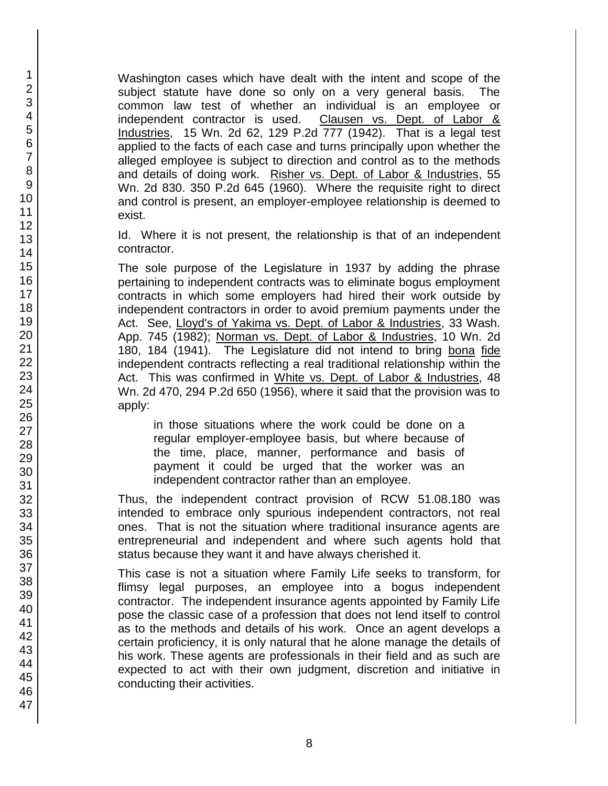Washington cases which have dealt with the intent and scope of the subject statute have done so only on a very general basis. The common law test of whether an individual is an employee or independent contractor is used. Clausen vs. Dept. of Labor & Industries, 15 Wn. 2d 62, 129 P.2d 777 (1942). That is a legal test applied to the facts of each case and turns principally upon whether the alleged employee is subject to direction and control as to the methods and details of doing work. Risher vs. Dept. of Labor & Industries, 55 Wn. 2d 830. 350 P.2d 645 (1960). Where the requisite right to direct and control is present, an employer-employee relationship is deemed to exist.

Id. Where it is not present, the relationship is that of an independent contractor.

The sole purpose of the Legislature in 1937 by adding the phrase pertaining to independent contracts was to eliminate bogus employment contracts in which some employers had hired their work outside by independent contractors in order to avoid premium payments under the Act. See, Lloyd's of Yakima vs. Dept. of Labor & Industries, 33 Wash. App. 745 (1982); Norman vs. Dept. of Labor & Industries, 10 Wn. 2d 180, 184 (1941). The Legislature did not intend to bring bona fide independent contracts reflecting a real traditional relationship within the Act. This was confirmed in White vs. Dept. of Labor & Industries, 48 Wn. 2d 470, 294 P.2d 650 (1956), where it said that the provision was to apply:

in those situations where the work could be done on a regular employer-employee basis, but where because of the time, place, manner, performance and basis of payment it could be urged that the worker was an independent contractor rather than an employee.

Thus, the independent contract provision of RCW 51.08.180 was intended to embrace only spurious independent contractors, not real ones. That is not the situation where traditional insurance agents are entrepreneurial and independent and where such agents hold that status because they want it and have always cherished it.

This case is not a situation where Family Life seeks to transform, for flimsy legal purposes, an employee into a bogus independent contractor. The independent insurance agents appointed by Family Life pose the classic case of a profession that does not lend itself to control as to the methods and details of his work. Once an agent develops a certain proficiency, it is only natural that he alone manage the details of his work. These agents are professionals in their field and as such are expected to act with their own judgment, discretion and initiative in conducting their activities.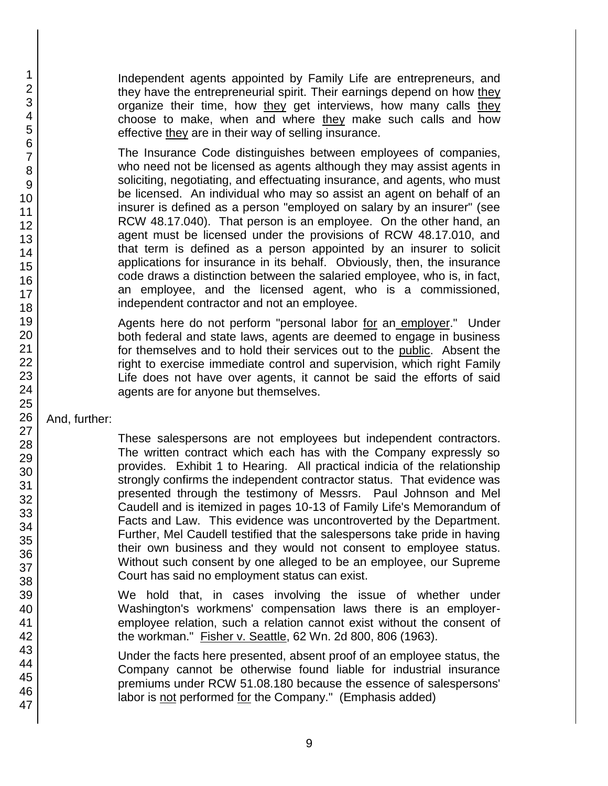Independent agents appointed by Family Life are entrepreneurs, and they have the entrepreneurial spirit. Their earnings depend on how they organize their time, how they get interviews, how many calls they choose to make, when and where they make such calls and how effective they are in their way of selling insurance.

The Insurance Code distinguishes between employees of companies, who need not be licensed as agents although they may assist agents in soliciting, negotiating, and effectuating insurance, and agents, who must be licensed. An individual who may so assist an agent on behalf of an insurer is defined as a person "employed on salary by an insurer" (see RCW 48.17.040). That person is an employee. On the other hand, an agent must be licensed under the provisions of RCW 48.17.010, and that term is defined as a person appointed by an insurer to solicit applications for insurance in its behalf. Obviously, then, the insurance code draws a distinction between the salaried employee, who is, in fact, an employee, and the licensed agent, who is a commissioned, independent contractor and not an employee.

Agents here do not perform "personal labor for an employer." Under both federal and state laws, agents are deemed to engage in business for themselves and to hold their services out to the public. Absent the right to exercise immediate control and supervision, which right Family Life does not have over agents, it cannot be said the efforts of said agents are for anyone but themselves.

And, further:

These salespersons are not employees but independent contractors. The written contract which each has with the Company expressly so provides. Exhibit 1 to Hearing. All practical indicia of the relationship strongly confirms the independent contractor status. That evidence was presented through the testimony of Messrs. Paul Johnson and Mel Caudell and is itemized in pages 10-13 of Family Life's Memorandum of Facts and Law. This evidence was uncontroverted by the Department. Further, Mel Caudell testified that the salespersons take pride in having their own business and they would not consent to employee status. Without such consent by one alleged to be an employee, our Supreme Court has said no employment status can exist.

- We hold that, in cases involving the issue of whether under Washington's workmens' compensation laws there is an employeremployee relation, such a relation cannot exist without the consent of the workman." Fisher v. Seattle, 62 Wn. 2d 800, 806 (1963).
- Under the facts here presented, absent proof of an employee status, the Company cannot be otherwise found liable for industrial insurance premiums under RCW 51.08.180 because the essence of salespersons' labor is not performed for the Company." (Emphasis added)